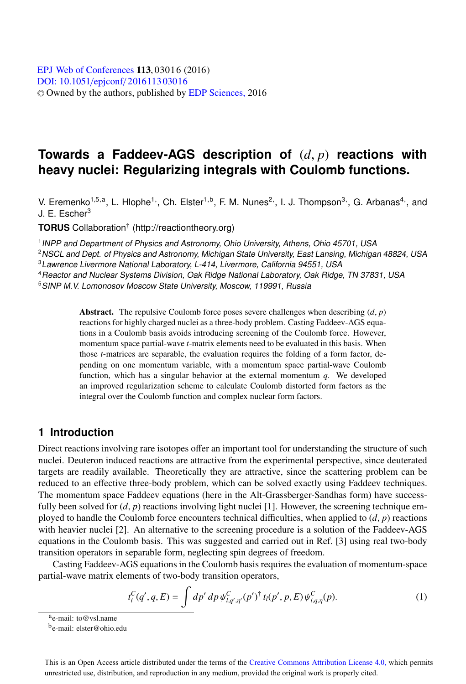# **Towards a Faddeev-AGS description of** (*d*, *p*) **reactions with heavy nuclei: Regularizing integrals with Coulomb functions.**

V. Eremenko<sup>1,5,a</sup>, L. Hlophe<sup>1,</sup>, Ch. Elster<sup>1,b</sup>, F. M. Nunes<sup>2,</sup>, I. J. Thompson<sup>3,</sup>, G. Arbanas<sup>4,</sup>, and J. E. Escher<sup>3</sup>

**TORUS** Collaboration† (http://reactiontheory.org)

<sup>1</sup>INPP and Department of Physics and Astronomy, Ohio University, Athens, Ohio 45701, USA

<sup>2</sup>NSCL and Dept. of Physics and Astronomy, Michigan State University, East Lansing, Michigan 48824, USA

<sup>3</sup>Lawrence Livermore National Laboratory, L-414, Livermore, California 94551, USA

<sup>4</sup>Reactor and Nuclear Systems Division, Oak Ridge National Laboratory, Oak Ridge, TN 37831, USA

<sup>5</sup>SINP M.V. Lomonosov Moscow State University, Moscow, 119991, Russia

Abstract. The repulsive Coulomb force poses severe challenges when describing  $(d, p)$ reactions for highly charged nuclei as a three-body problem. Casting Faddeev-AGS equations in a Coulomb basis avoids introducing screening of the Coulomb force. However, momentum space partial-wave *t*-matrix elements need to be evaluated in this basis. When those *t*-matrices are separable, the evaluation requires the folding of a form factor, depending on one momentum variable, with a momentum space partial-wave Coulomb function, which has a singular behavior at the external momentum *q*. We developed an improved regularization scheme to calculate Coulomb distorted form factors as the integral over the Coulomb function and complex nuclear form factors.

# **1 Introduction**

Direct reactions involving rare isotopes offer an important tool for understanding the structure of such nuclei. Deuteron induced reactions are attractive from the experimental perspective, since deuterated targets are readily available. Theoretically they are attractive, since the scattering problem can be reduced to an effective three-body problem, which can be solved exactly using Faddeev techniques. The momentum space Faddeev equations (here in the Alt-Grassberger-Sandhas form) have successfully been solved for  $(d, p)$  reactions involving light nuclei [1]. However, the screening technique employed to handle the Coulomb force encounters technical difficulties, when applied to (*d*, *p*) reactions with heavier nuclei [2]. An alternative to the screening procedure is a solution of the Faddeev-AGS equations in the Coulomb basis. This was suggested and carried out in Ref. [3] using real two-body transition operators in separable form, neglecting spin degrees of freedom.

Casting Faddeev-AGS equations in the Coulomb basis requires the evaluation of momentum-space partial-wave matrix elements of two-body transition operators,

$$
t_{l}^{C}(q',q,E) = \int dp' dp \psi_{l,q',\eta'}^{C}(p')^{\dagger} t_{l}(p',p,E) \psi_{l,q,\eta}^{C}(p). \tag{1}
$$

This is an Open Access article distributed under the terms of the Creative Commons Attribution License 4.0, which permits unrestricted use, distribution, and reproduction in any medium, provided the original work is properly cited.

ae-mail: to@vsl.name

be-mail: elster@ohio.edu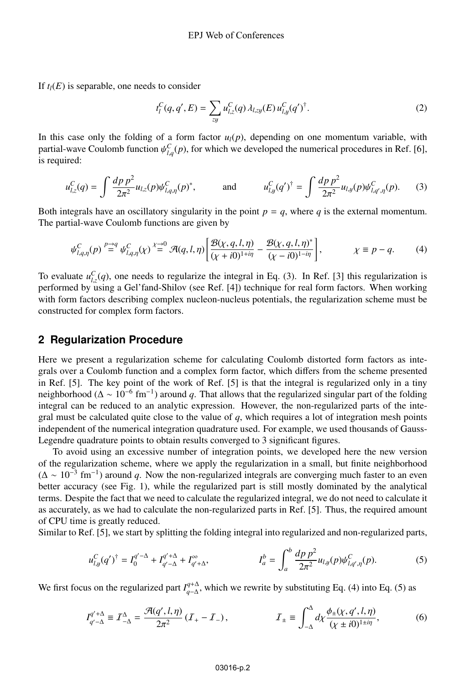If  $t_l(E)$  is separable, one needs to consider

$$
t_l^C(q, q', E) = \sum_{zy} u_{l,z}^C(q) \lambda_{l,zy}(E) u_{l,y}^C(q')^\dagger.
$$
 (2)

In this case only the folding of a form factor  $u_l(p)$ , depending on one momentum variable, with partial-wave Coulomb function  $\psi_{l,q}^C(p)$ , for which we developed the numerical procedures in Ref. [6], is required:

$$
u_{l,z}^C(q) = \int \frac{dp \, p^2}{2\pi^2} u_{l,z}(p) \psi_{l,q,\eta}^C(p)^*, \qquad \text{and} \qquad u_{l,y}^C(q')^\dagger = \int \frac{dp \, p^2}{2\pi^2} u_{l,y}(p) \psi_{l,q',\eta}^C(p). \tag{3}
$$

Both integrals have an oscillatory singularity in the point  $p = q$ , where *q* is the external momentum. The partial-wave Coulomb functions are given by

$$
\psi_{l,q,\eta}^C(p) \stackrel{p \to q}{=} \psi_{l,q,\eta}^C(\chi) \stackrel{\chi \to 0}{=} \mathcal{A}(q,l,\eta) \left[ \frac{\mathcal{B}(\chi,q,l,\eta)}{(\chi+i0)^{1+i\eta}} - \frac{\mathcal{B}(\chi,q,l,\eta)^*}{(\chi-i0)^{1-i\eta}} \right], \qquad \chi \equiv p-q. \tag{4}
$$

To evaluate  $u_{l,z}^C(q)$ , one needs to regularize the integral in Eq. (3). In Ref. [3] this regularization is performed by using a Gel'fand-Shilov (see Ref. [4]) technique for real form factors. When working with form factors describing complex nucleon-nucleus potentials, the regularization scheme must be constructed for complex form factors.

#### **2 Regularization Procedure**

Here we present a regularization scheme for calculating Coulomb distorted form factors as integrals over a Coulomb function and a complex form factor, which differs from the scheme presented in Ref. [5]. The key point of the work of Ref. [5] is that the integral is regularized only in a tiny neighborhood ( $\Delta \sim 10^{-6}$  fm<sup>-1</sup>) around *q*. That allows that the regularized singular part of the folding integral can be reduced to an analytic expression. However, the non-regularized parts of the integral must be calculated quite close to the value of  $q$ , which requires a lot of integration mesh points independent of the numerical integration quadrature used. For example, we used thousands of Gauss-Legendre quadrature points to obtain results converged to 3 significant figures.

To avoid using an excessive number of integration points, we developed here the new version of the regularization scheme, where we apply the regularization in a small, but finite neighborhood  $(\Delta \sim 10^{-3}$  fm<sup>-1</sup>) around *q*. Now the non-regularized integrals are converging much faster to an even better accuracy (see Fig. 1), while the regularized part is still mostly dominated by the analytical terms. Despite the fact that we need to calculate the regularized integral, we do not need to calculate it as accurately, as we had to calculate the non-regularized parts in Ref. [5]. Thus, the required amount of CPU time is greatly reduced.

Similar to Ref. [5], we start by splitting the folding integral into regularized and non-regularized parts,

$$
u_{l,y}^C(q')^\dagger = I_0^{q'-\Delta} + I_{q'-\Delta}^{q'+\Delta} + I_{q'+\Delta}^\infty, \qquad I_a^b = \int_a^b \frac{dp \, p^2}{2\pi^2} u_{l,y}(p) \psi_{l,q',\eta}^C(p). \tag{5}
$$

We first focus on the regularized part  $I_{q-\Delta}^{q+\Delta}$ , which we rewrite by substituting Eq. (4) into Eq. (5) as

$$
I_{q'-\Delta}^{q'+\Delta} \equiv I_{-\Delta}^{\Delta} = \frac{\mathcal{A}(q',l,\eta)}{2\pi^2} (I_+ - I_-), \qquad I_{\pm} \equiv \int_{-\Delta}^{\Delta} d\chi \frac{\phi_{\pm}(\chi,q',l,\eta)}{(\chi \pm i0)^{1+i\eta}}, \qquad (6)
$$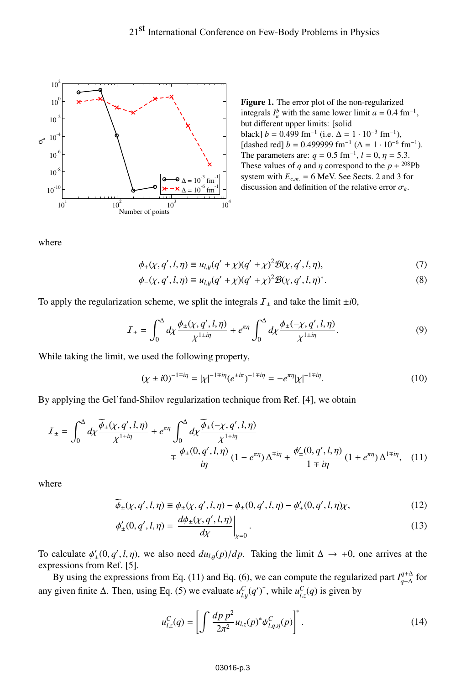

Figure 1. The error plot of the non-regularized integrals  $I_a^b$  with the same lower limit  $a = 0.4$  fm<sup>-1</sup>, but different upper limits: [solid black]  $b = 0.499$  fm<sup>-1</sup> (i.e.  $\Delta = 1 \cdot 10^{-3}$  fm<sup>-1</sup>), [dashed red]  $b = 0.499999$  fm<sup>-1</sup> ( $\Delta = 1 \cdot 10^{-6}$  fm<sup>-1</sup>). The parameters are:  $q = 0.5$  fm<sup>-1</sup>,  $l = 0$ ,  $\eta = 5.3$ . These values of *q* and *n* correspond to the  $p + {}^{208}Pb$ system with  $E_{c.m.} = 6$  MeV. See Sects. 2 and 3 for discussion and definition of the relative error  $\sigma_k$ .

where

$$
\phi_{+}(\chi, q', l, \eta) \equiv u_{l, y}(q' + \chi)(q' + \chi)^{2} \mathcal{B}(\chi, q', l, \eta), \tag{7}
$$

$$
\phi_{-}(\chi, q', l, \eta) \equiv u_{l, y}(q' + \chi)(q' + \chi)^2 \mathcal{B}(\chi, q', l, \eta)^*.
$$
\n(8)

To apply the regularization scheme, we split the integrals  $I_{\pm}$  and take the limit  $\pm i0$ ,

$$
\mathcal{I}_{\pm} = \int_0^{\Delta} d\chi \frac{\phi_{\pm}(\chi, q', l, \eta)}{\chi^{1 \pm i\eta}} + e^{\pi \eta} \int_0^{\Delta} d\chi \frac{\phi_{\pm}(-\chi, q', l, \eta)}{\chi^{1 \pm i\eta}}.
$$
(9)

While taking the limit, we used the following property,

$$
(\chi \pm i0)^{-1\mp i\eta} = |\chi|^{-1\mp i\eta} (e^{\pm i\pi})^{-1\mp i\eta} = -e^{\pi \eta} |\chi|^{-1\mp i\eta}.
$$
 (10)

By applying the Gel'fand-Shilov regularization technique from Ref. [4], we obtain

$$
I_{\pm} = \int_0^{\Delta} d\chi \frac{\widetilde{\phi}_{\pm}(\chi, q', l, \eta)}{\chi^{1 \pm i\eta}} + e^{\pi \eta} \int_0^{\Delta} d\chi \frac{\widetilde{\phi}_{\pm}(-\chi, q', l, \eta)}{\chi^{1 \pm i\eta}} \mp \frac{\phi_{\pm}(0, q', l, \eta)}{i\eta} (1 - e^{\pi \eta}) \Delta^{\mp i\eta} + \frac{\phi_{\pm}'(0, q', l, \eta)}{1 \mp i\eta} (1 + e^{\pi \eta}) \Delta^{1 \mp i\eta}, \quad (11)
$$

where

$$
\phi_{\pm}(\chi, q', l, \eta) \equiv \phi_{\pm}(\chi, q', l, \eta) - \phi_{\pm}(0, q', l, \eta) - \phi'_{\pm}(0, q', l, \eta)\chi,
$$
(12)

$$
\phi'_{\pm}(0, q', l, \eta) = \left. \frac{d\phi_{\pm}(\chi, q', l, \eta)}{d\chi} \right|_{\chi=0}.
$$
\n(13)

To calculate  $\phi'_{\pm}(0, q', l, \eta)$ , we also need  $du_{l,y}(p)/dp$ . Taking the limit  $\Delta \to +0$ , one arrives at the expressions from Ref. [5].

By using the expressions from Eq. (11) and Eq. (6), we can compute the regularized part  $I_{q-\Delta}^{q+\Delta}$  for any given finite  $\Delta$ . Then, using Eq. (5) we evaluate  $u_{l,y}^C(q')^{\dagger}$ , while  $u_{l,z}^C(q)$  is given by

$$
u_{l,z}^C(q) = \left[ \int \frac{dp \ p^2}{2\pi^2} u_{l,z}(p)^* \psi_{l,q,\eta}^C(p) \right]^*.
$$
 (14)